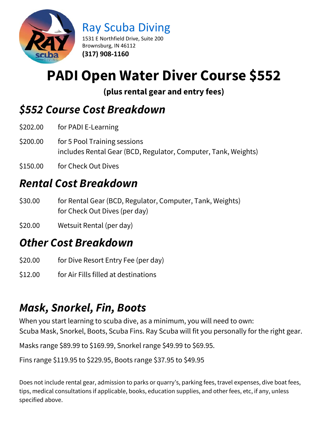

Ray Scuba Diving

1531 E Northfield Drive, Suite 200 Brownsburg, IN 46112 **(317) 908-1160**

# **PADI Open Water Diver Course \$552**

**(plus rental gear and entry fees)**

# *\$552 Course Cost Breakdown*

- \$202.00 for PADI E-Learning
- \$200.00 for 5 Pool Training sessions includes Rental Gear (BCD, Regulator, Computer, Tank, Weights)
- \$150.00 for Check Out Dives

# *Rental Cost Breakdown*

- \$30.00 for Rental Gear (BCD, Regulator, Computer, Tank, Weights) for Check Out Dives (per day)
- \$20.00 Wetsuit Rental (per day)

### *Other Cost Breakdown*

- \$20.00 for Dive Resort Entry Fee (per day)
- \$12.00 for Air Fills filled at destinations

# *Mask, Snorkel, Fin, Boots*

When you start learning to scuba dive, as a minimum, you will need to own: Scuba Mask, Snorkel, Boots, Scuba Fins. Ray Scuba will fit you personally for the right gear.

Masks range \$89.99 to \$169.99, Snorkel range \$49.99 to \$69.95.

Fins range \$119.95 to \$229.95, Boots range \$37.95 to \$49.95

Does not include rental gear, admission to parks or quarry's, parking fees, travel expenses, dive boat fees, tips, medical consultations if applicable, books, education supplies, and other fees, etc, if any, unless specified above.